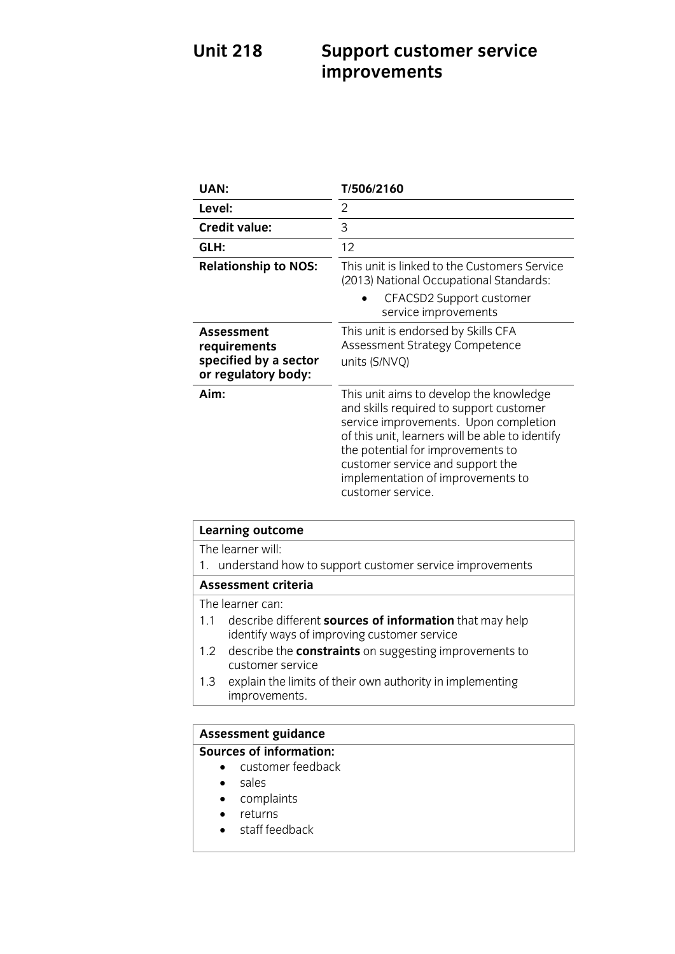## **UNITED SUPPORT CUSTOMER SERVICE SERVICE SERVICE SERVICE SERVICE SERVICE SERVICE SERVICE SERVICE SERVICE SERVICE SERVICE SERVICE SERVICE SERVICE SERVICE SERVICE SERVICE SERVICE SERVICE SERVICE SERVICE SERVICE SERVICE SERVI improvements**

| UAN:                                                                              | T/506/2160                                                                                                                                                                                                                                                                                                        |
|-----------------------------------------------------------------------------------|-------------------------------------------------------------------------------------------------------------------------------------------------------------------------------------------------------------------------------------------------------------------------------------------------------------------|
| Level:                                                                            | 2                                                                                                                                                                                                                                                                                                                 |
| <b>Credit value:</b>                                                              | 3                                                                                                                                                                                                                                                                                                                 |
| GLH:                                                                              | 12                                                                                                                                                                                                                                                                                                                |
| <b>Relationship to NOS:</b>                                                       | This unit is linked to the Customers Service<br>(2013) National Occupational Standards:                                                                                                                                                                                                                           |
|                                                                                   | CFACSD2 Support customer<br>service improvements                                                                                                                                                                                                                                                                  |
| <b>Assessment</b><br>requirements<br>specified by a sector<br>or regulatory body: | This unit is endorsed by Skills CFA<br>Assessment Strategy Competence<br>units (S/NVQ)                                                                                                                                                                                                                            |
| Aim:                                                                              | This unit aims to develop the knowledge<br>and skills required to support customer<br>service improvements. Upon completion<br>of this unit, learners will be able to identify<br>the potential for improvements to<br>customer service and support the<br>implementation of improvements to<br>customer service. |

| <b>Learning outcome</b>                                                                                              |  |
|----------------------------------------------------------------------------------------------------------------------|--|
| The learner will:                                                                                                    |  |
| 1. understand how to support customer service improvements                                                           |  |
| <b>Assessment criteria</b>                                                                                           |  |
| The learner can:                                                                                                     |  |
| describe different <b>sources of information</b> that may help<br>1.1<br>identify ways of improving customer service |  |
| 1.2 describe the <b>constraints</b> on suggesting improvements to<br>customer service                                |  |
| explain the limits of their own authority in implementing<br>1.3<br>improvements.                                    |  |

# **Assessment guidance**

## **Sources of information:**<br> **Customer feedback**

- sales
- complaints
- $\bullet$  returns
- staff feedback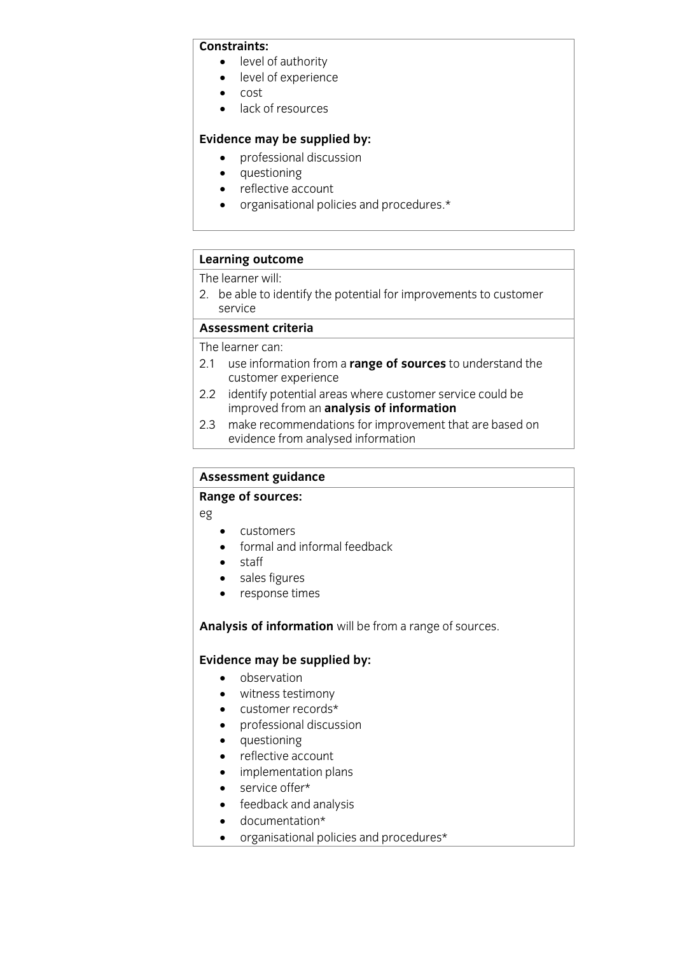### Constraints:

- level of authority<br>• level of experience
	- level of experience<br>• cost
	- $\bullet$  cost<br> $\bullet$  lack
	- lack of resources

- **Evidence** may be supplied by:
	- questioning
	- reflective account
	- organisational policies and procedures.\*

# **Learning outcome**<br>The learner will:

2. be able to identify the potential for improvements to customer 2. be able to identify the potential for improvements to customer

### Assessment criteria

The learner can:

- 2.1 use information from a range of sources to understand the customer experience
- 2.2 identify potential areas where customer service could be improved from an analysis of information
- make recommendations for improvement that are based on evidence from analysed information evidence from analysed information

## **Assessment guidance**

## **Range of sources:**

eg

- customers
- formal and informal feedback
- staff
- sales figures
- response times

## **Analysis of information** will be from a range of sources.

- **Evidence** may be supplied by:
	- witness testimony
	- customer records\*
	- professional discussion
	- questioning
	- reflective account
	- implementation plans
	- service offer\*
	- feedback and analysis
	- documentation\*<br>• organisational no
	- organisational policies and procedures\*